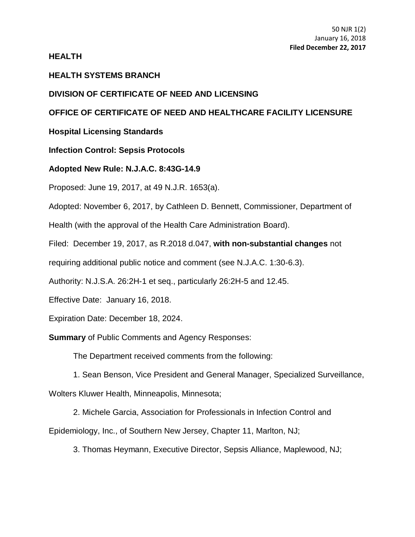## **HEALTH**

## **HEALTH SYSTEMS BRANCH**

#### **DIVISION OF CERTIFICATE OF NEED AND LICENSING**

# **OFFICE OF CERTIFICATE OF NEED AND HEALTHCARE FACILITY LICENSURE**

**Hospital Licensing Standards**

**Infection Control: Sepsis Protocols**

## **Adopted New Rule: N.J.A.C. 8:43G-14.9**

Proposed: June 19, 2017, at 49 N.J.R. 1653(a).

Adopted: November 6, 2017, by Cathleen D. Bennett, Commissioner, Department of

Health (with the approval of the Health Care Administration Board).

Filed: December 19, 2017, as R.2018 d.047, **with non-substantial changes** not

requiring additional public notice and comment (see N.J.A.C. 1:30-6.3).

Authority: N.J.S.A. 26:2H-1 et seq., particularly 26:2H-5 and 12.45.

Effective Date: January 16, 2018.

Expiration Date: December 18, 2024.

**Summary** of Public Comments and Agency Responses:

The Department received comments from the following:

1. Sean Benson, Vice President and General Manager, Specialized Surveillance,

Wolters Kluwer Health, Minneapolis, Minnesota;

2. Michele Garcia, Association for Professionals in Infection Control and

Epidemiology, Inc., of Southern New Jersey, Chapter 11, Marlton, NJ;

3. Thomas Heymann, Executive Director, Sepsis Alliance, Maplewood, NJ;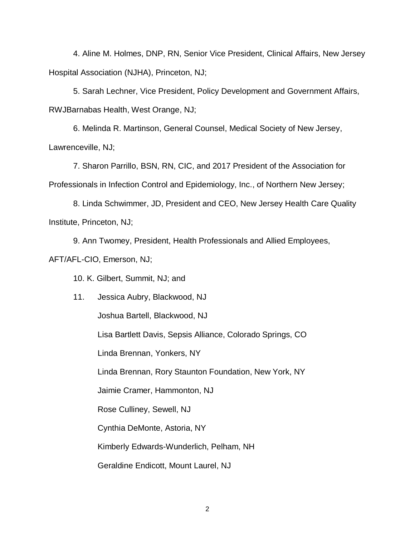4. Aline M. Holmes, DNP, RN, Senior Vice President, Clinical Affairs, New Jersey Hospital Association (NJHA), Princeton, NJ;

5. Sarah Lechner, Vice President, Policy Development and Government Affairs, RWJBarnabas Health, West Orange, NJ;

6. Melinda R. Martinson, General Counsel, Medical Society of New Jersey, Lawrenceville, NJ;

7. Sharon Parrillo, BSN, RN, CIC, and 2017 President of the Association for Professionals in Infection Control and Epidemiology, Inc., of Northern New Jersey;

8. Linda Schwimmer, JD, President and CEO, New Jersey Health Care Quality Institute, Princeton, NJ;

9. Ann Twomey, President, Health Professionals and Allied Employees,

AFT/AFL-CIO, Emerson, NJ;

10. K. Gilbert, Summit, NJ; and

11. Jessica Aubry, Blackwood, NJ Joshua Bartell, Blackwood, NJ Lisa Bartlett Davis, Sepsis Alliance, Colorado Springs, CO Linda Brennan, Yonkers, NY Linda Brennan, Rory Staunton Foundation, New York, NY Jaimie Cramer, Hammonton, NJ Rose Culliney, Sewell, NJ Cynthia DeMonte, Astoria, NY Kimberly Edwards-Wunderlich, Pelham, NH Geraldine Endicott, Mount Laurel, NJ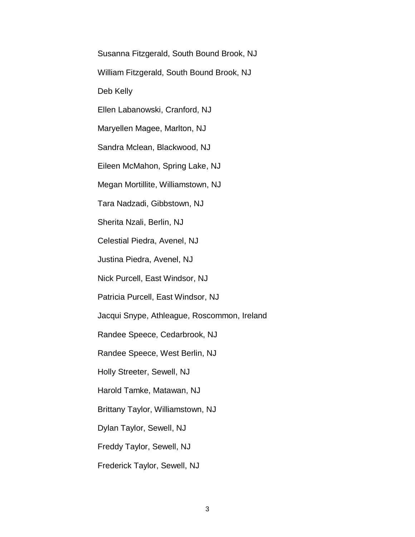Susanna Fitzgerald, South Bound Brook, NJ

William Fitzgerald, South Bound Brook, NJ

Deb Kelly

Ellen Labanowski, Cranford, NJ

Maryellen Magee, Marlton, NJ

Sandra Mclean, Blackwood, NJ

Eileen McMahon, Spring Lake, NJ

Megan Mortillite, Williamstown, NJ

Tara Nadzadi, Gibbstown, NJ

Sherita Nzali, Berlin, NJ

Celestial Piedra, Avenel, NJ

Justina Piedra, Avenel, NJ

Nick Purcell, East Windsor, NJ

Patricia Purcell, East Windsor, NJ

Jacqui Snype, Athleague, Roscommon, Ireland

Randee Speece, Cedarbrook, NJ

Randee Speece, West Berlin, NJ

Holly Streeter, Sewell, NJ

Harold Tamke, Matawan, NJ

Brittany Taylor, Williamstown, NJ

Dylan Taylor, Sewell, NJ

Freddy Taylor, Sewell, NJ

Frederick Taylor, Sewell, NJ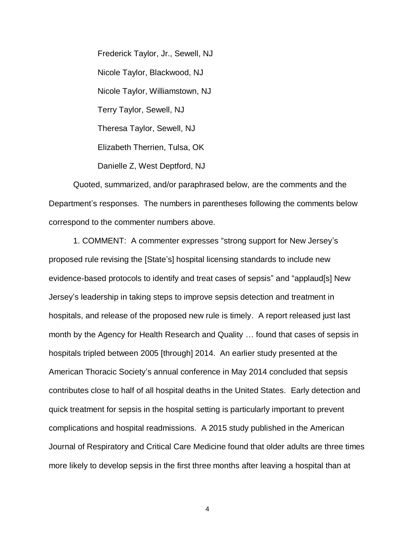Frederick Taylor, Jr., Sewell, NJ Nicole Taylor, Blackwood, NJ Nicole Taylor, Williamstown, NJ Terry Taylor, Sewell, NJ Theresa Taylor, Sewell, NJ Elizabeth Therrien, Tulsa, OK Danielle Z, West Deptford, NJ

Quoted, summarized, and/or paraphrased below, are the comments and the Department's responses. The numbers in parentheses following the comments below correspond to the commenter numbers above.

1. COMMENT: A commenter expresses "strong support for New Jersey's proposed rule revising the [State's] hospital licensing standards to include new evidence-based protocols to identify and treat cases of sepsis" and "applaud[s] New Jersey's leadership in taking steps to improve sepsis detection and treatment in hospitals, and release of the proposed new rule is timely. A report released just last month by the Agency for Health Research and Quality … found that cases of sepsis in hospitals tripled between 2005 [through] 2014. An earlier study presented at the American Thoracic Society's annual conference in May 2014 concluded that sepsis contributes close to half of all hospital deaths in the United States. Early detection and quick treatment for sepsis in the hospital setting is particularly important to prevent complications and hospital readmissions. A 2015 study published in the American Journal of Respiratory and Critical Care Medicine found that older adults are three times more likely to develop sepsis in the first three months after leaving a hospital than at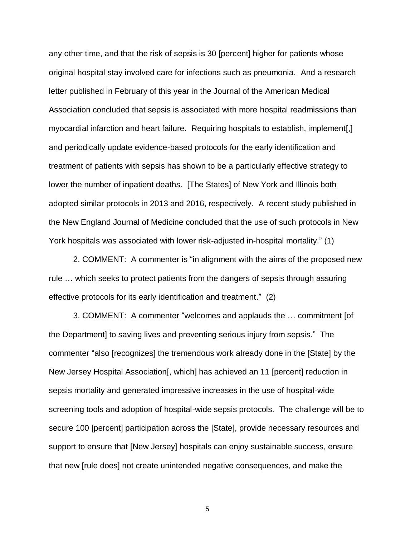any other time, and that the risk of sepsis is 30 [percent] higher for patients whose original hospital stay involved care for infections such as pneumonia. And a research letter published in February of this year in the Journal of the American Medical Association concluded that sepsis is associated with more hospital readmissions than myocardial infarction and heart failure. Requiring hospitals to establish, implement[,] and periodically update evidence-based protocols for the early identification and treatment of patients with sepsis has shown to be a particularly effective strategy to lower the number of inpatient deaths. [The States] of New York and Illinois both adopted similar protocols in 2013 and 2016, respectively. A recent study published in the New England Journal of Medicine concluded that the use of such protocols in New York hospitals was associated with lower risk-adjusted in-hospital mortality." (1)

2. COMMENT: A commenter is "in alignment with the aims of the proposed new rule … which seeks to protect patients from the dangers of sepsis through assuring effective protocols for its early identification and treatment." (2)

3. COMMENT: A commenter "welcomes and applauds the … commitment [of the Department] to saving lives and preventing serious injury from sepsis." The commenter "also [recognizes] the tremendous work already done in the [State] by the New Jersey Hospital Association[, which] has achieved an 11 [percent] reduction in sepsis mortality and generated impressive increases in the use of hospital-wide screening tools and adoption of hospital-wide sepsis protocols. The challenge will be to secure 100 [percent] participation across the [State], provide necessary resources and support to ensure that [New Jersey] hospitals can enjoy sustainable success, ensure that new [rule does] not create unintended negative consequences, and make the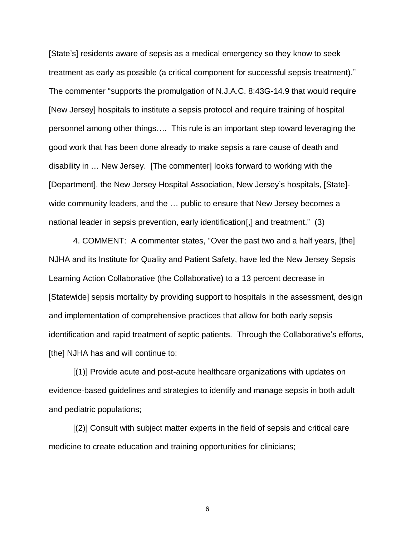[State's] residents aware of sepsis as a medical emergency so they know to seek treatment as early as possible (a critical component for successful sepsis treatment)." The commenter "supports the promulgation of N.J.A.C. 8:43G-14.9 that would require [New Jersey] hospitals to institute a sepsis protocol and require training of hospital personnel among other things…. This rule is an important step toward leveraging the good work that has been done already to make sepsis a rare cause of death and disability in … New Jersey. [The commenter] looks forward to working with the [Department], the New Jersey Hospital Association, New Jersey's hospitals, [State] wide community leaders, and the … public to ensure that New Jersey becomes a national leader in sepsis prevention, early identification[,] and treatment." (3)

4. COMMENT: A commenter states, "Over the past two and a half years, [the] NJHA and its Institute for Quality and Patient Safety, have led the New Jersey Sepsis Learning Action Collaborative (the Collaborative) to a 13 percent decrease in [Statewide] sepsis mortality by providing support to hospitals in the assessment, design and implementation of comprehensive practices that allow for both early sepsis identification and rapid treatment of septic patients. Through the Collaborative's efforts, [the] NJHA has and will continue to:

[(1)] Provide acute and post-acute healthcare organizations with updates on evidence-based guidelines and strategies to identify and manage sepsis in both adult and pediatric populations;

[(2)] Consult with subject matter experts in the field of sepsis and critical care medicine to create education and training opportunities for clinicians;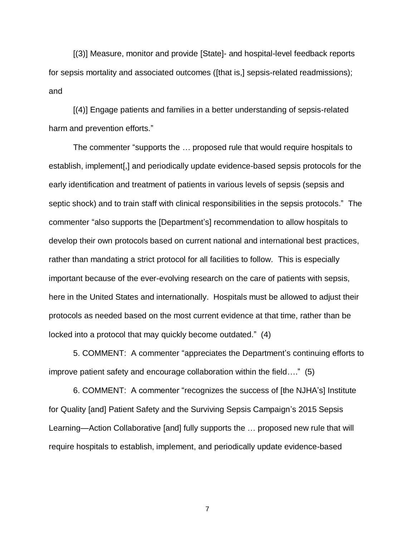[(3)] Measure, monitor and provide [State]- and hospital-level feedback reports for sepsis mortality and associated outcomes ([that is,] sepsis-related readmissions); and

[(4)] Engage patients and families in a better understanding of sepsis-related harm and prevention efforts."

The commenter "supports the … proposed rule that would require hospitals to establish, implement[,] and periodically update evidence-based sepsis protocols for the early identification and treatment of patients in various levels of sepsis (sepsis and septic shock) and to train staff with clinical responsibilities in the sepsis protocols." The commenter "also supports the [Department's] recommendation to allow hospitals to develop their own protocols based on current national and international best practices, rather than mandating a strict protocol for all facilities to follow. This is especially important because of the ever-evolving research on the care of patients with sepsis, here in the United States and internationally. Hospitals must be allowed to adjust their protocols as needed based on the most current evidence at that time, rather than be locked into a protocol that may quickly become outdated." (4)

5. COMMENT: A commenter "appreciates the Department's continuing efforts to improve patient safety and encourage collaboration within the field…." (5)

6. COMMENT: A commenter "recognizes the success of [the NJHA's] Institute for Quality [and] Patient Safety and the Surviving Sepsis Campaign's 2015 Sepsis Learning—Action Collaborative [and] fully supports the … proposed new rule that will require hospitals to establish, implement, and periodically update evidence-based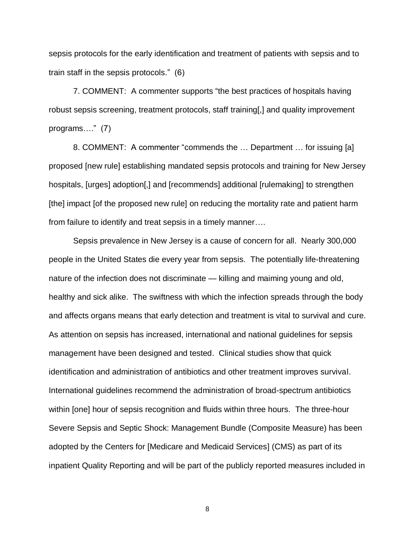sepsis protocols for the early identification and treatment of patients with sepsis and to train staff in the sepsis protocols." (6)

7. COMMENT: A commenter supports "the best practices of hospitals having robust sepsis screening, treatment protocols, staff training[,] and quality improvement programs…." (7)

8. COMMENT: A commenter "commends the … Department … for issuing [a] proposed [new rule] establishing mandated sepsis protocols and training for New Jersey hospitals, [urges] adoption[,] and [recommends] additional [rulemaking] to strengthen [the] impact [of the proposed new rule] on reducing the mortality rate and patient harm from failure to identify and treat sepsis in a timely manner….

Sepsis prevalence in New Jersey is a cause of concern for all. Nearly 300,000 people in the United States die every year from sepsis. The potentially life-threatening nature of the infection does not discriminate — killing and maiming young and old, healthy and sick alike. The swiftness with which the infection spreads through the body and affects organs means that early detection and treatment is vital to survival and cure. As attention on sepsis has increased, international and national guidelines for sepsis management have been designed and tested. Clinical studies show that quick identification and administration of antibiotics and other treatment improves survival. International guidelines recommend the administration of broad-spectrum antibiotics within [one] hour of sepsis recognition and fluids within three hours. The three-hour Severe Sepsis and Septic Shock: Management Bundle (Composite Measure) has been adopted by the Centers for [Medicare and Medicaid Services] (CMS) as part of its inpatient Quality Reporting and will be part of the publicly reported measures included in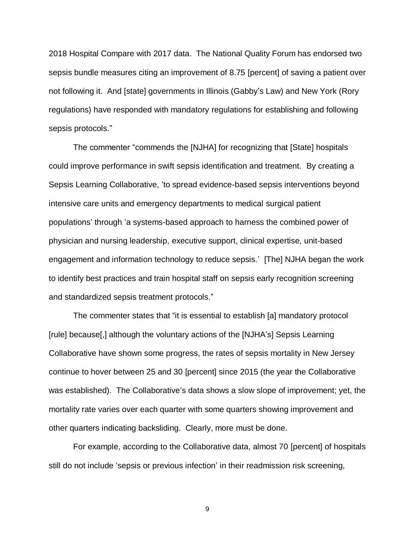2018 Hospital Compare with 2017 data. The National Quality Forum has endorsed two sepsis bundle measures citing an improvement of 8.75 [percent] of saving a patient over not following it. And [state] governments in Illinois (Gabby's Law) and New York (Rory regulations) have responded with mandatory regulations for establishing and following sepsis protocols."

The commenter "commends the [NJHA] for recognizing that [State] hospitals could improve performance in swift sepsis identification and treatment. By creating a Sepsis Learning Collaborative, 'to spread evidence-based sepsis interventions beyond intensive care units and emergency departments to medical surgical patient populations' through 'a systems-based approach to harness the combined power of physician and nursing leadership, executive support, clinical expertise, unit-based engagement and information technology to reduce sepsis.' [The] NJHA began the work to identify best practices and train hospital staff on sepsis early recognition screening and standardized sepsis treatment protocols."

The commenter states that "it is essential to establish [a] mandatory protocol [rule] because[,] although the voluntary actions of the [NJHA's] Sepsis Learning Collaborative have shown some progress, the rates of sepsis mortality in New Jersey continue to hover between 25 and 30 [percent] since 2015 (the year the Collaborative was established). The Collaborative's data shows a slow slope of improvement; yet, the mortality rate varies over each quarter with some quarters showing improvement and other quarters indicating backsliding. Clearly, more must be done.

For example, according to the Collaborative data, almost 70 [percent] of hospitals still do not include 'sepsis or previous infection' in their readmission risk screening,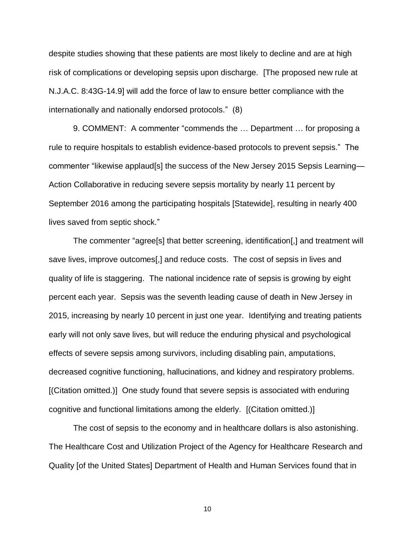despite studies showing that these patients are most likely to decline and are at high risk of complications or developing sepsis upon discharge. [The proposed new rule at N.J.A.C. 8:43G-14.9] will add the force of law to ensure better compliance with the internationally and nationally endorsed protocols." (8)

9. COMMENT: A commenter "commends the … Department … for proposing a rule to require hospitals to establish evidence-based protocols to prevent sepsis." The commenter "likewise applaud[s] the success of the New Jersey 2015 Sepsis Learning— Action Collaborative in reducing severe sepsis mortality by nearly 11 percent by September 2016 among the participating hospitals [Statewide], resulting in nearly 400 lives saved from septic shock."

The commenter "agree[s] that better screening, identification[,] and treatment will save lives, improve outcomes[,] and reduce costs. The cost of sepsis in lives and quality of life is staggering. The national incidence rate of sepsis is growing by eight percent each year. Sepsis was the seventh leading cause of death in New Jersey in 2015, increasing by nearly 10 percent in just one year. Identifying and treating patients early will not only save lives, but will reduce the enduring physical and psychological effects of severe sepsis among survivors, including disabling pain, amputations, decreased cognitive functioning, hallucinations, and kidney and respiratory problems. [(Citation omitted.)] One study found that severe sepsis is associated with enduring cognitive and functional limitations among the elderly. [(Citation omitted.)]

The cost of sepsis to the economy and in healthcare dollars is also astonishing. The Healthcare Cost and Utilization Project of the Agency for Healthcare Research and Quality [of the United States] Department of Health and Human Services found that in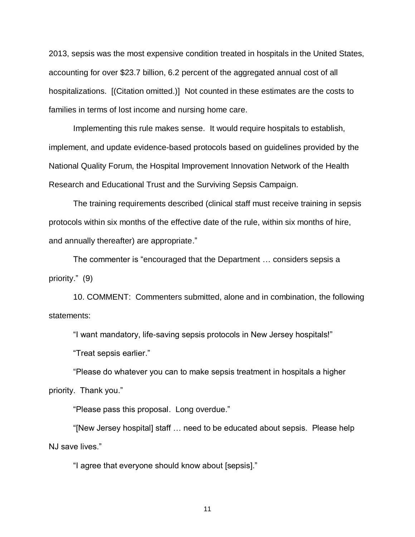2013, sepsis was the most expensive condition treated in hospitals in the United States, accounting for over \$23.7 billion, 6.2 percent of the aggregated annual cost of all hospitalizations. [(Citation omitted.)] Not counted in these estimates are the costs to families in terms of lost income and nursing home care.

Implementing this rule makes sense. It would require hospitals to establish, implement, and update evidence-based protocols based on guidelines provided by the National Quality Forum, the Hospital Improvement Innovation Network of the Health Research and Educational Trust and the Surviving Sepsis Campaign.

The training requirements described (clinical staff must receive training in sepsis protocols within six months of the effective date of the rule, within six months of hire, and annually thereafter) are appropriate."

The commenter is "encouraged that the Department … considers sepsis a priority." (9)

10. COMMENT: Commenters submitted, alone and in combination, the following statements:

"I want mandatory, life-saving sepsis protocols in New Jersey hospitals!"

"Treat sepsis earlier."

"Please do whatever you can to make sepsis treatment in hospitals a higher priority. Thank you."

"Please pass this proposal. Long overdue."

"[New Jersey hospital] staff … need to be educated about sepsis. Please help NJ save lives."

"I agree that everyone should know about [sepsis]."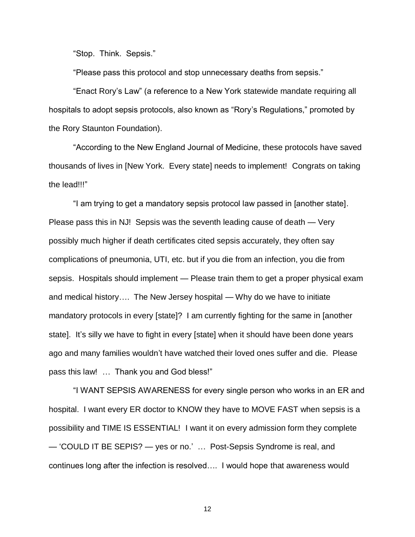"Stop. Think. Sepsis."

"Please pass this protocol and stop unnecessary deaths from sepsis."

"Enact Rory's Law" (a reference to a New York statewide mandate requiring all hospitals to adopt sepsis protocols, also known as "Rory's Regulations," promoted by the Rory Staunton Foundation).

"According to the New England Journal of Medicine, these protocols have saved thousands of lives in [New York. Every state] needs to implement! Congrats on taking the lead!!!"

"I am trying to get a mandatory sepsis protocol law passed in [another state]. Please pass this in NJ! Sepsis was the seventh leading cause of death — Very possibly much higher if death certificates cited sepsis accurately, they often say complications of pneumonia, UTI, etc. but if you die from an infection, you die from sepsis. Hospitals should implement — Please train them to get a proper physical exam and medical history…. The New Jersey hospital — Why do we have to initiate mandatory protocols in every [state]? I am currently fighting for the same in [another state]. It's silly we have to fight in every [state] when it should have been done years ago and many families wouldn't have watched their loved ones suffer and die. Please pass this law! … Thank you and God bless!"

"I WANT SEPSIS AWARENESS for every single person who works in an ER and hospital. I want every ER doctor to KNOW they have to MOVE FAST when sepsis is a possibility and TIME IS ESSENTIAL! I want it on every admission form they complete — 'COULD IT BE SEPIS? — yes or no.' … Post-Sepsis Syndrome is real, and continues long after the infection is resolved…. I would hope that awareness would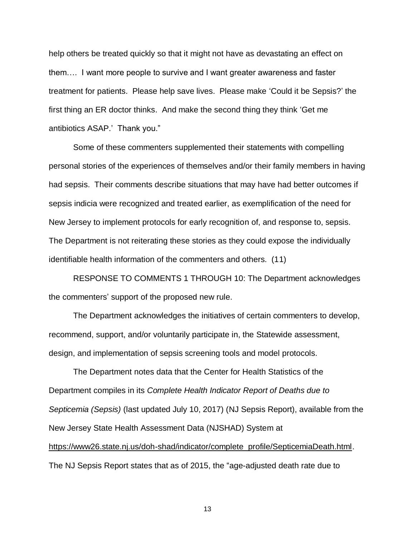help others be treated quickly so that it might not have as devastating an effect on them…. I want more people to survive and I want greater awareness and faster treatment for patients. Please help save lives. Please make 'Could it be Sepsis?' the first thing an ER doctor thinks. And make the second thing they think 'Get me antibiotics ASAP.' Thank you."

Some of these commenters supplemented their statements with compelling personal stories of the experiences of themselves and/or their family members in having had sepsis. Their comments describe situations that may have had better outcomes if sepsis indicia were recognized and treated earlier, as exemplification of the need for New Jersey to implement protocols for early recognition of, and response to, sepsis. The Department is not reiterating these stories as they could expose the individually identifiable health information of the commenters and others. (11)

RESPONSE TO COMMENTS 1 THROUGH 10: The Department acknowledges the commenters' support of the proposed new rule.

The Department acknowledges the initiatives of certain commenters to develop, recommend, support, and/or voluntarily participate in, the Statewide assessment, design, and implementation of sepsis screening tools and model protocols.

The Department notes data that the Center for Health Statistics of the Department compiles in its *Complete Health Indicator Report of Deaths due to Septicemia (Sepsis)* (last updated July 10, 2017) (NJ Sepsis Report), available from the New Jersey State Health Assessment Data (NJSHAD) System at [https://www26.state.nj.us/doh-shad/indicator/complete\\_profile/SepticemiaDeath.html.](https://www26.state.nj.us/doh-shad/indicator/complete_profile/SepticemiaDeath.html) The NJ Sepsis Report states that as of 2015, the "age-adjusted death rate due to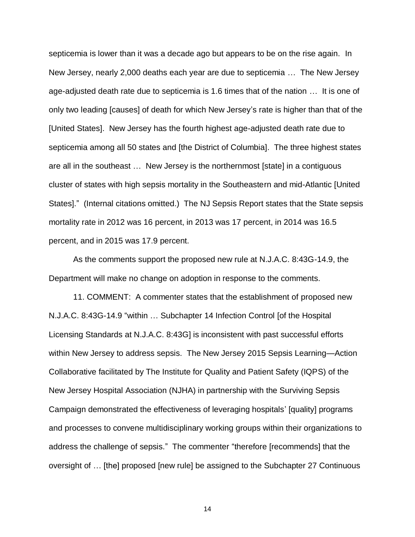septicemia is lower than it was a decade ago but appears to be on the rise again. In New Jersey, nearly 2,000 deaths each year are due to septicemia … The New Jersey age-adjusted death rate due to septicemia is 1.6 times that of the nation … It is one of only two leading [causes] of death for which New Jersey's rate is higher than that of the [United States]. New Jersey has the fourth highest age-adjusted death rate due to septicemia among all 50 states and [the District of Columbia]. The three highest states are all in the southeast … New Jersey is the northernmost [state] in a contiguous cluster of states with high sepsis mortality in the Southeastern and mid-Atlantic [United States]." (Internal citations omitted.) The NJ Sepsis Report states that the State sepsis mortality rate in 2012 was 16 percent, in 2013 was 17 percent, in 2014 was 16.5 percent, and in 2015 was 17.9 percent.

As the comments support the proposed new rule at N.J.A.C. 8:43G-14.9, the Department will make no change on adoption in response to the comments.

11. COMMENT: A commenter states that the establishment of proposed new N.J.A.C. 8:43G-14.9 "within … Subchapter 14 Infection Control [of the Hospital Licensing Standards at N.J.A.C. 8:43G] is inconsistent with past successful efforts within New Jersey to address sepsis. The New Jersey 2015 Sepsis Learning—Action Collaborative facilitated by The Institute for Quality and Patient Safety (IQPS) of the New Jersey Hospital Association (NJHA) in partnership with the Surviving Sepsis Campaign demonstrated the effectiveness of leveraging hospitals' [quality] programs and processes to convene multidisciplinary working groups within their organizations to address the challenge of sepsis." The commenter "therefore [recommends] that the oversight of … [the] proposed [new rule] be assigned to the Subchapter 27 Continuous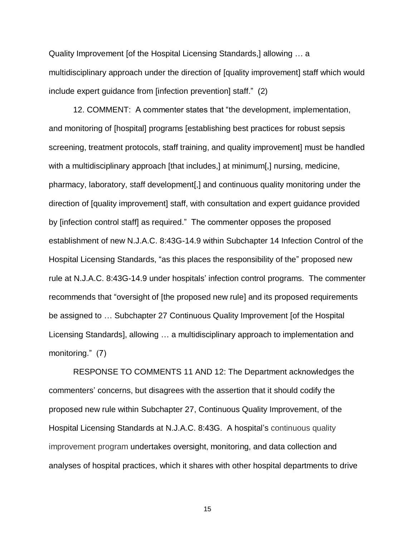Quality Improvement [of the Hospital Licensing Standards,] allowing … a multidisciplinary approach under the direction of [quality improvement] staff which would include expert guidance from [infection prevention] staff." (2)

12. COMMENT: A commenter states that "the development, implementation, and monitoring of [hospital] programs [establishing best practices for robust sepsis screening, treatment protocols, staff training, and quality improvement] must be handled with a multidisciplinary approach [that includes,] at minimum[,] nursing, medicine, pharmacy, laboratory, staff development[,] and continuous quality monitoring under the direction of [quality improvement] staff, with consultation and expert guidance provided by [infection control staff] as required." The commenter opposes the proposed establishment of new N.J.A.C. 8:43G-14.9 within Subchapter 14 Infection Control of the Hospital Licensing Standards, "as this places the responsibility of the" proposed new rule at N.J.A.C. 8:43G-14.9 under hospitals' infection control programs. The commenter recommends that "oversight of [the proposed new rule] and its proposed requirements be assigned to … Subchapter 27 Continuous Quality Improvement [of the Hospital Licensing Standards], allowing … a multidisciplinary approach to implementation and monitoring." (7)

RESPONSE TO COMMENTS 11 AND 12: The Department acknowledges the commenters' concerns, but disagrees with the assertion that it should codify the proposed new rule within Subchapter 27, Continuous Quality Improvement, of the Hospital Licensing Standards at N.J.A.C. 8:43G. A hospital's continuous quality improvement program undertakes oversight, monitoring, and data collection and analyses of hospital practices, which it shares with other hospital departments to drive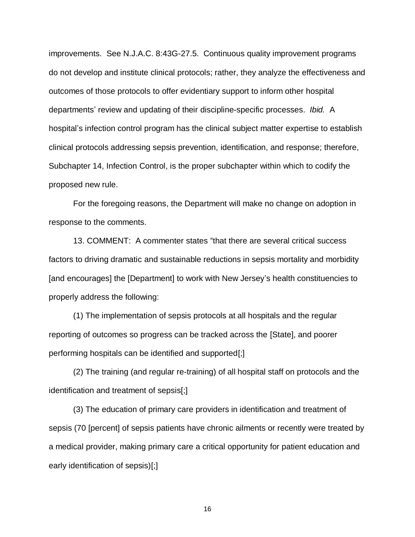improvements. See N.J.A.C. 8:43G-27.5. Continuous quality improvement programs do not develop and institute clinical protocols; rather, they analyze the effectiveness and outcomes of those protocols to offer evidentiary support to inform other hospital departments' review and updating of their discipline-specific processes. *Ibid.* A hospital's infection control program has the clinical subject matter expertise to establish clinical protocols addressing sepsis prevention, identification, and response; therefore, Subchapter 14, Infection Control, is the proper subchapter within which to codify the proposed new rule.

For the foregoing reasons, the Department will make no change on adoption in response to the comments.

13. COMMENT: A commenter states "that there are several critical success factors to driving dramatic and sustainable reductions in sepsis mortality and morbidity [and encourages] the [Department] to work with New Jersey's health constituencies to properly address the following:

(1) The implementation of sepsis protocols at all hospitals and the regular reporting of outcomes so progress can be tracked across the [State], and poorer performing hospitals can be identified and supported[;]

(2) The training (and regular re-training) of all hospital staff on protocols and the identification and treatment of sepsis[;]

(3) The education of primary care providers in identification and treatment of sepsis (70 [percent] of sepsis patients have chronic ailments or recently were treated by a medical provider, making primary care a critical opportunity for patient education and early identification of sepsis)[;]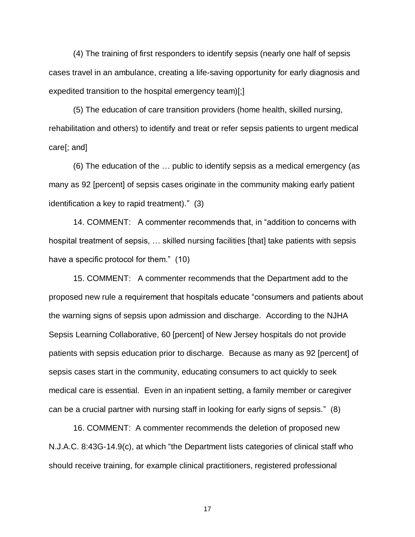(4) The training of first responders to identify sepsis (nearly one half of sepsis cases travel in an ambulance, creating a life-saving opportunity for early diagnosis and expedited transition to the hospital emergency team)[;]

(5) The education of care transition providers (home health, skilled nursing, rehabilitation and others) to identify and treat or refer sepsis patients to urgent medical care[; and]

(6) The education of the … public to identify sepsis as a medical emergency (as many as 92 [percent] of sepsis cases originate in the community making early patient identification a key to rapid treatment)." (3)

14. COMMENT: A commenter recommends that, in "addition to concerns with hospital treatment of sepsis, … skilled nursing facilities [that] take patients with sepsis have a specific protocol for them." (10)

15. COMMENT: A commenter recommends that the Department add to the proposed new rule a requirement that hospitals educate "consumers and patients about the warning signs of sepsis upon admission and discharge. According to the NJHA Sepsis Learning Collaborative, 60 [percent] of New Jersey hospitals do not provide patients with sepsis education prior to discharge. Because as many as 92 [percent] of sepsis cases start in the community, educating consumers to act quickly to seek medical care is essential. Even in an inpatient setting, a family member or caregiver can be a crucial partner with nursing staff in looking for early signs of sepsis." (8)

16. COMMENT: A commenter recommends the deletion of proposed new N.J.A.C. 8:43G-14.9(c), at which "the Department lists categories of clinical staff who should receive training, for example clinical practitioners, registered professional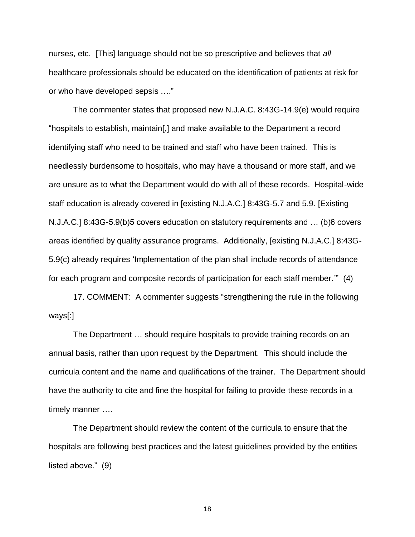nurses, etc. [This] language should not be so prescriptive and believes that *all*  healthcare professionals should be educated on the identification of patients at risk for or who have developed sepsis …."

The commenter states that proposed new N.J.A.C. 8:43G-14.9(e) would require "hospitals to establish, maintain[,] and make available to the Department a record identifying staff who need to be trained and staff who have been trained. This is needlessly burdensome to hospitals, who may have a thousand or more staff, and we are unsure as to what the Department would do with all of these records. Hospital-wide staff education is already covered in [existing N.J.A.C.] 8:43G-5.7 and 5.9. [Existing N.J.A.C.] 8:43G-5.9(b)5 covers education on statutory requirements and … (b)6 covers areas identified by quality assurance programs. Additionally, [existing N.J.A.C.] 8:43G-5.9(c) already requires 'Implementation of the plan shall include records of attendance for each program and composite records of participation for each staff member.'" (4)

17. COMMENT: A commenter suggests "strengthening the rule in the following ways[:]

The Department … should require hospitals to provide training records on an annual basis, rather than upon request by the Department. This should include the curricula content and the name and qualifications of the trainer. The Department should have the authority to cite and fine the hospital for failing to provide these records in a timely manner ….

The Department should review the content of the curricula to ensure that the hospitals are following best practices and the latest guidelines provided by the entities listed above." (9)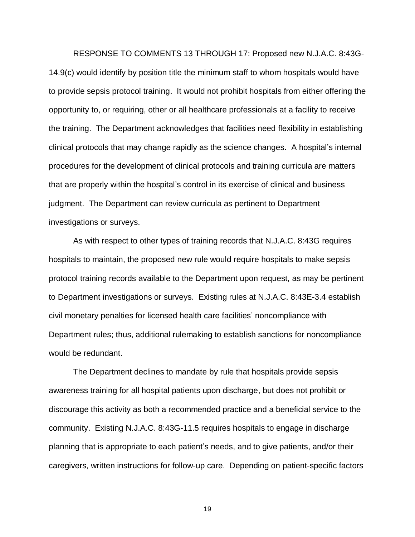RESPONSE TO COMMENTS 13 THROUGH 17: Proposed new N.J.A.C. 8:43G-14.9(c) would identify by position title the minimum staff to whom hospitals would have to provide sepsis protocol training. It would not prohibit hospitals from either offering the opportunity to, or requiring, other or all healthcare professionals at a facility to receive the training. The Department acknowledges that facilities need flexibility in establishing clinical protocols that may change rapidly as the science changes. A hospital's internal procedures for the development of clinical protocols and training curricula are matters that are properly within the hospital's control in its exercise of clinical and business judgment. The Department can review curricula as pertinent to Department investigations or surveys.

As with respect to other types of training records that N.J.A.C. 8:43G requires hospitals to maintain, the proposed new rule would require hospitals to make sepsis protocol training records available to the Department upon request, as may be pertinent to Department investigations or surveys. Existing rules at N.J.A.C. 8:43E-3.4 establish civil monetary penalties for licensed health care facilities' noncompliance with Department rules; thus, additional rulemaking to establish sanctions for noncompliance would be redundant.

The Department declines to mandate by rule that hospitals provide sepsis awareness training for all hospital patients upon discharge, but does not prohibit or discourage this activity as both a recommended practice and a beneficial service to the community. Existing N.J.A.C. 8:43G-11.5 requires hospitals to engage in discharge planning that is appropriate to each patient's needs, and to give patients, and/or their caregivers, written instructions for follow-up care. Depending on patient-specific factors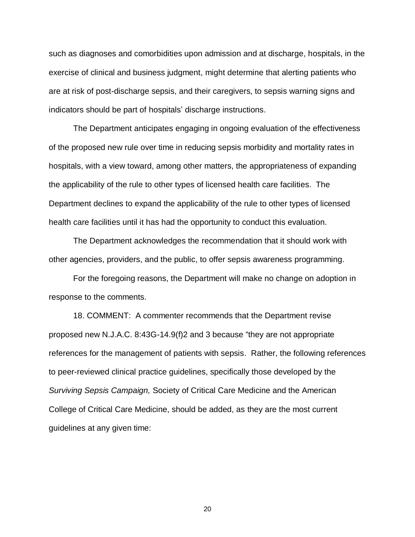such as diagnoses and comorbidities upon admission and at discharge, hospitals, in the exercise of clinical and business judgment, might determine that alerting patients who are at risk of post-discharge sepsis, and their caregivers, to sepsis warning signs and indicators should be part of hospitals' discharge instructions.

The Department anticipates engaging in ongoing evaluation of the effectiveness of the proposed new rule over time in reducing sepsis morbidity and mortality rates in hospitals, with a view toward, among other matters, the appropriateness of expanding the applicability of the rule to other types of licensed health care facilities. The Department declines to expand the applicability of the rule to other types of licensed health care facilities until it has had the opportunity to conduct this evaluation.

The Department acknowledges the recommendation that it should work with other agencies, providers, and the public, to offer sepsis awareness programming.

For the foregoing reasons, the Department will make no change on adoption in response to the comments.

18. COMMENT: A commenter recommends that the Department revise proposed new N.J.A.C. 8:43G-14.9(f)2 and 3 because "they are not appropriate references for the management of patients with sepsis. Rather, the following references to peer-reviewed clinical practice guidelines, specifically those developed by the *Surviving Sepsis Campaign,* Society of Critical Care Medicine and the American College of Critical Care Medicine, should be added, as they are the most current guidelines at any given time: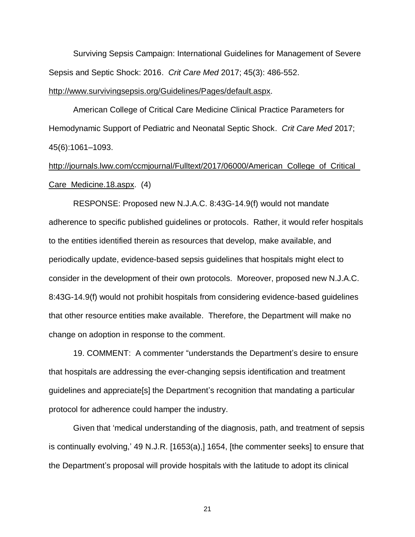Surviving Sepsis Campaign: International Guidelines for Management of Severe Sepsis and Septic Shock: 2016. *Crit Care Med* 2017; 45(3): 486-552.

# [http://www.survivingsepsis.org/Guidelines/Pages/default.aspx.](http://www.survivingsepsis.org/Guidelines/Pages/default.aspx)

American College of Critical Care Medicine Clinical Practice Parameters for Hemodynamic Support of Pediatric and Neonatal Septic Shock. *Crit Care Med* 2017; 45(6):1061–1093.

# [http://journals.lww.com/ccmjournal/Fulltext/2017/06000/American\\_College\\_of\\_Critical\\_](http://journals.lww.com/ccmjournal/Fulltext/2017/06000/American_College_of_Critical_Care_Medicine.18.aspx) [Care\\_Medicine.18.aspx.](http://journals.lww.com/ccmjournal/Fulltext/2017/06000/American_College_of_Critical_Care_Medicine.18.aspx) (4)

RESPONSE: Proposed new N.J.A.C. 8:43G-14.9(f) would not mandate adherence to specific published guidelines or protocols. Rather, it would refer hospitals to the entities identified therein as resources that develop, make available, and periodically update, evidence-based sepsis guidelines that hospitals might elect to consider in the development of their own protocols. Moreover, proposed new N.J.A.C. 8:43G-14.9(f) would not prohibit hospitals from considering evidence-based guidelines that other resource entities make available. Therefore, the Department will make no change on adoption in response to the comment.

19. COMMENT: A commenter "understands the Department's desire to ensure that hospitals are addressing the ever-changing sepsis identification and treatment guidelines and appreciate[s] the Department's recognition that mandating a particular protocol for adherence could hamper the industry.

Given that 'medical understanding of the diagnosis, path, and treatment of sepsis is continually evolving,' 49 N.J.R. [1653(a),] 1654, [the commenter seeks] to ensure that the Department's proposal will provide hospitals with the latitude to adopt its clinical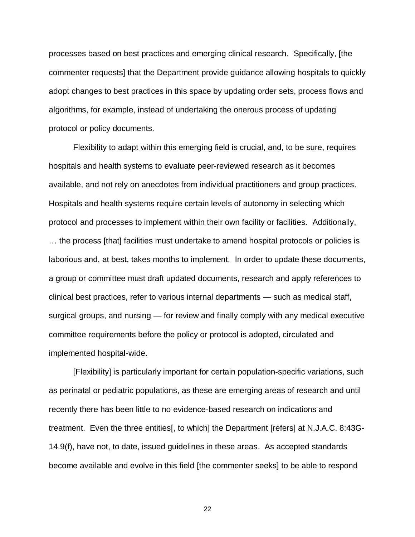processes based on best practices and emerging clinical research. Specifically, [the commenter requests] that the Department provide guidance allowing hospitals to quickly adopt changes to best practices in this space by updating order sets, process flows and algorithms, for example, instead of undertaking the onerous process of updating protocol or policy documents.

Flexibility to adapt within this emerging field is crucial, and, to be sure, requires hospitals and health systems to evaluate peer-reviewed research as it becomes available, and not rely on anecdotes from individual practitioners and group practices. Hospitals and health systems require certain levels of autonomy in selecting which protocol and processes to implement within their own facility or facilities. Additionally, … the process [that] facilities must undertake to amend hospital protocols or policies is laborious and, at best, takes months to implement. In order to update these documents, a group or committee must draft updated documents, research and apply references to clinical best practices, refer to various internal departments — such as medical staff, surgical groups, and nursing — for review and finally comply with any medical executive committee requirements before the policy or protocol is adopted, circulated and implemented hospital-wide.

[Flexibility] is particularly important for certain population-specific variations, such as perinatal or pediatric populations, as these are emerging areas of research and until recently there has been little to no evidence-based research on indications and treatment. Even the three entities[, to which] the Department [refers] at N.J.A.C. 8:43G-14.9(f), have not, to date, issued guidelines in these areas. As accepted standards become available and evolve in this field [the commenter seeks] to be able to respond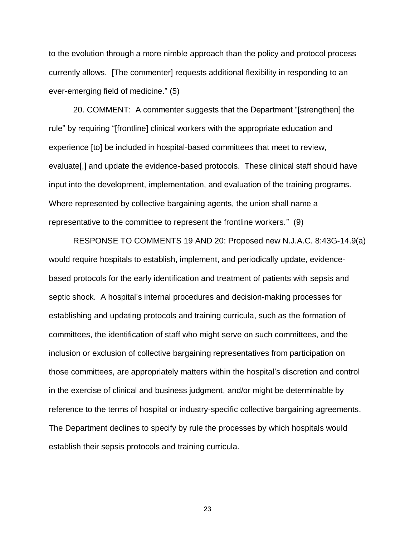to the evolution through a more nimble approach than the policy and protocol process currently allows. [The commenter] requests additional flexibility in responding to an ever-emerging field of medicine." (5)

20. COMMENT: A commenter suggests that the Department "[strengthen] the rule" by requiring "[frontline] clinical workers with the appropriate education and experience [to] be included in hospital-based committees that meet to review, evaluate[,] and update the evidence-based protocols. These clinical staff should have input into the development, implementation, and evaluation of the training programs. Where represented by collective bargaining agents, the union shall name a representative to the committee to represent the frontline workers." (9)

RESPONSE TO COMMENTS 19 AND 20: Proposed new N.J.A.C. 8:43G-14.9(a) would require hospitals to establish, implement, and periodically update, evidencebased protocols for the early identification and treatment of patients with sepsis and septic shock. A hospital's internal procedures and decision-making processes for establishing and updating protocols and training curricula, such as the formation of committees, the identification of staff who might serve on such committees, and the inclusion or exclusion of collective bargaining representatives from participation on those committees, are appropriately matters within the hospital's discretion and control in the exercise of clinical and business judgment, and/or might be determinable by reference to the terms of hospital or industry-specific collective bargaining agreements. The Department declines to specify by rule the processes by which hospitals would establish their sepsis protocols and training curricula.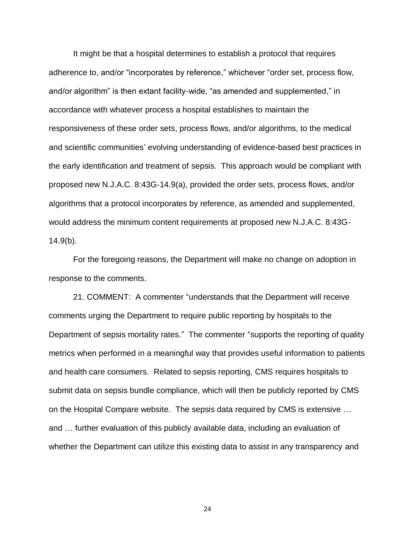It might be that a hospital determines to establish a protocol that requires adherence to, and/or "incorporates by reference," whichever "order set, process flow, and/or algorithm" is then extant facility-wide, "as amended and supplemented," in accordance with whatever process a hospital establishes to maintain the responsiveness of these order sets, process flows, and/or algorithms, to the medical and scientific communities' evolving understanding of evidence-based best practices in the early identification and treatment of sepsis. This approach would be compliant with proposed new N.J.A.C. 8:43G-14.9(a), provided the order sets, process flows, and/or algorithms that a protocol incorporates by reference, as amended and supplemented, would address the minimum content requirements at proposed new N.J.A.C. 8:43G-14.9(b).

For the foregoing reasons, the Department will make no change on adoption in response to the comments.

21. COMMENT: A commenter "understands that the Department will receive comments urging the Department to require public reporting by hospitals to the Department of sepsis mortality rates." The commenter "supports the reporting of quality metrics when performed in a meaningful way that provides useful information to patients and health care consumers. Related to sepsis reporting, CMS requires hospitals to submit data on sepsis bundle compliance, which will then be publicly reported by CMS on the Hospital Compare website. The sepsis data required by CMS is extensive … and … further evaluation of this publicly available data, including an evaluation of whether the Department can utilize this existing data to assist in any transparency and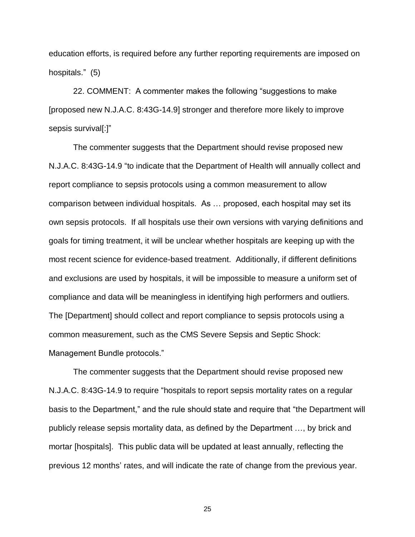education efforts, is required before any further reporting requirements are imposed on hospitals." (5)

22. COMMENT: A commenter makes the following "suggestions to make [proposed new N.J.A.C. 8:43G-14.9] stronger and therefore more likely to improve sepsis survival[:]"

The commenter suggests that the Department should revise proposed new N.J.A.C. 8:43G-14.9 "to indicate that the Department of Health will annually collect and report compliance to sepsis protocols using a common measurement to allow comparison between individual hospitals. As … proposed, each hospital may set its own sepsis protocols. If all hospitals use their own versions with varying definitions and goals for timing treatment, it will be unclear whether hospitals are keeping up with the most recent science for evidence-based treatment. Additionally, if different definitions and exclusions are used by hospitals, it will be impossible to measure a uniform set of compliance and data will be meaningless in identifying high performers and outliers. The [Department] should collect and report compliance to sepsis protocols using a common measurement, such as the CMS Severe Sepsis and Septic Shock: Management Bundle protocols."

The commenter suggests that the Department should revise proposed new N.J.A.C. 8:43G-14.9 to require "hospitals to report sepsis mortality rates on a regular basis to the Department," and the rule should state and require that "the Department will publicly release sepsis mortality data, as defined by the Department …, by brick and mortar [hospitals]. This public data will be updated at least annually, reflecting the previous 12 months' rates, and will indicate the rate of change from the previous year.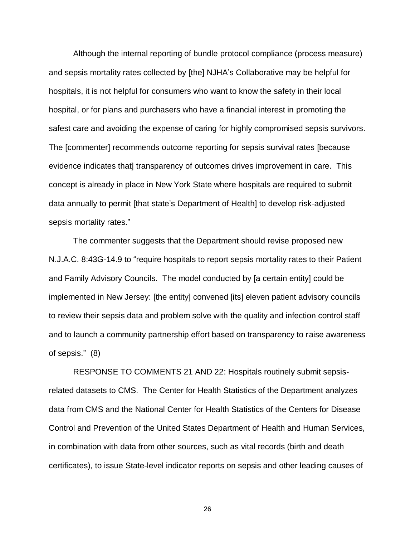Although the internal reporting of bundle protocol compliance (process measure) and sepsis mortality rates collected by [the] NJHA's Collaborative may be helpful for hospitals, it is not helpful for consumers who want to know the safety in their local hospital, or for plans and purchasers who have a financial interest in promoting the safest care and avoiding the expense of caring for highly compromised sepsis survivors. The [commenter] recommends outcome reporting for sepsis survival rates [because evidence indicates that] transparency of outcomes drives improvement in care. This concept is already in place in New York State where hospitals are required to submit data annually to permit [that state's Department of Health] to develop risk-adjusted sepsis mortality rates."

The commenter suggests that the Department should revise proposed new N.J.A.C. 8:43G-14.9 to "require hospitals to report sepsis mortality rates to their Patient and Family Advisory Councils. The model conducted by [a certain entity] could be implemented in New Jersey: [the entity] convened [its] eleven patient advisory councils to review their sepsis data and problem solve with the quality and infection control staff and to launch a community partnership effort based on transparency to raise awareness of sepsis." (8)

RESPONSE TO COMMENTS 21 AND 22: Hospitals routinely submit sepsisrelated datasets to CMS. The Center for Health Statistics of the Department analyzes data from CMS and the National Center for Health Statistics of the Centers for Disease Control and Prevention of the United States Department of Health and Human Services, in combination with data from other sources, such as vital records (birth and death certificates), to issue State-level indicator reports on sepsis and other leading causes of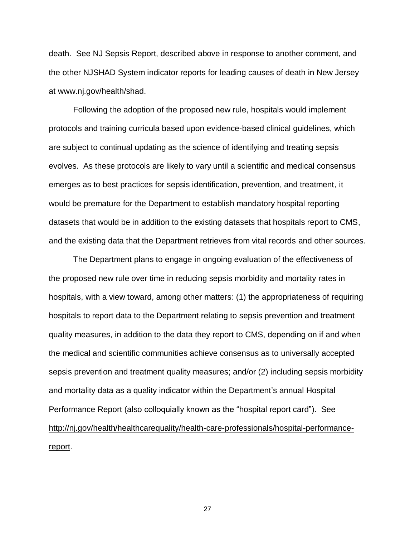death. See NJ Sepsis Report, described above in response to another comment, and the other NJSHAD System indicator reports for leading causes of death in New Jersey at [www.nj.gov/health/shad.](http://www.nj.gov/health/shad)

Following the adoption of the proposed new rule, hospitals would implement protocols and training curricula based upon evidence-based clinical guidelines, which are subject to continual updating as the science of identifying and treating sepsis evolves. As these protocols are likely to vary until a scientific and medical consensus emerges as to best practices for sepsis identification, prevention, and treatment, it would be premature for the Department to establish mandatory hospital reporting datasets that would be in addition to the existing datasets that hospitals report to CMS, and the existing data that the Department retrieves from vital records and other sources.

The Department plans to engage in ongoing evaluation of the effectiveness of the proposed new rule over time in reducing sepsis morbidity and mortality rates in hospitals, with a view toward, among other matters: (1) the appropriateness of requiring hospitals to report data to the Department relating to sepsis prevention and treatment quality measures, in addition to the data they report to CMS, depending on if and when the medical and scientific communities achieve consensus as to universally accepted sepsis prevention and treatment quality measures; and/or (2) including sepsis morbidity and mortality data as a quality indicator within the Department's annual Hospital Performance Report (also colloquially known as the "hospital report card"). See [http://nj.gov/health/healthcarequality/health-care-professionals/hospital-performance](http://nj.gov/health/healthcarequality/health-care-professionals/hospital-performance-report/)[report.](http://nj.gov/health/healthcarequality/health-care-professionals/hospital-performance-report/)